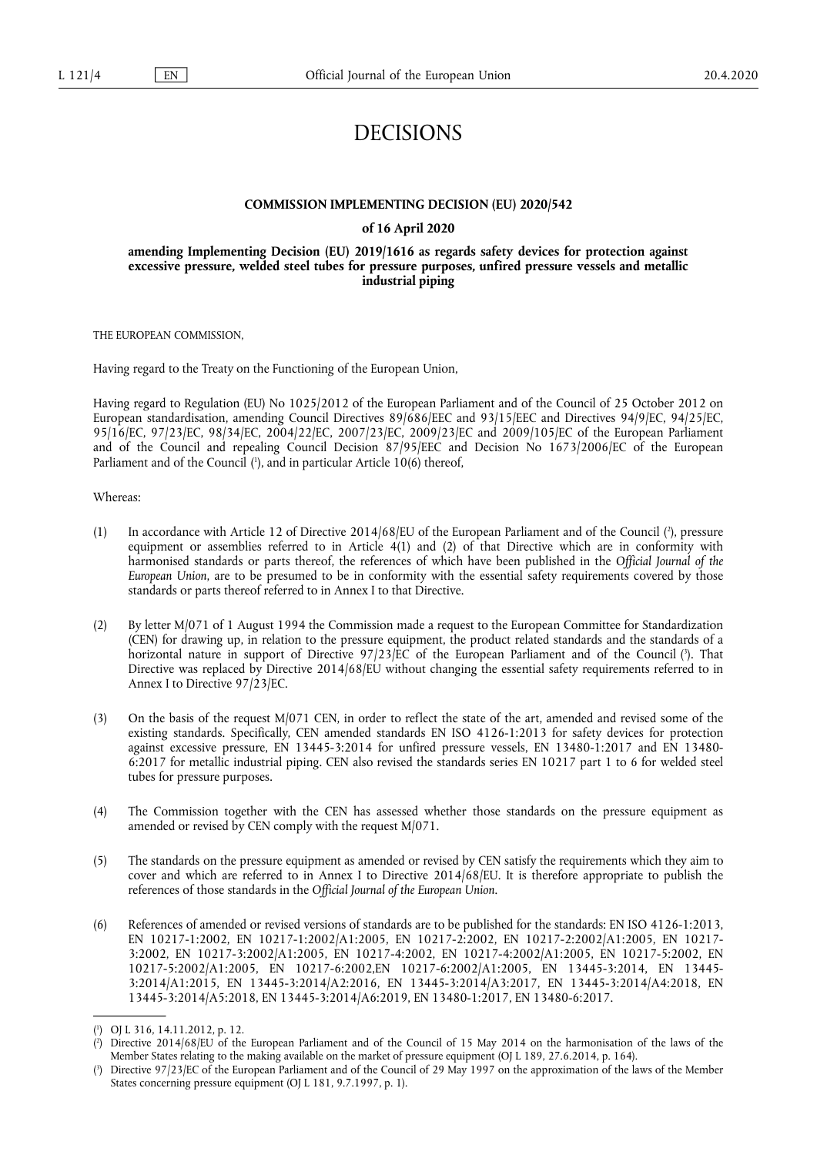# DECISIONS

#### **COMMISSION IMPLEMENTING DECISION (EU) 2020/542**

#### **of 16 April 2020**

#### **amending Implementing Decision (EU) 2019/1616 as regards safety devices for protection against excessive pressure, welded steel tubes for pressure purposes, unfired pressure vessels and metallic industrial piping**

THE EUROPEAN COMMISSION,

Having regard to the Treaty on the Functioning of the European Union,

Having regard to Regulation (EU) No 1025/2012 of the European Parliament and of the Council of 25 October 2012 on European standardisation, amending Council Directives 89/686/EEC and 93/15/EEC and Directives 94/9/EC, 94/25/EC, 95/16/EC, 97/23/EC, 98/34/EC, 2004/22/EC, 2007/23/EC, 2009/23/EC and 2009/105/EC of the European Parliament and of the Council and repealing Council Decision 87/95/EEC and Decision No 1673/2006/EC of the European Parliament and of the Council [\(](#page-0-0)<sup>1</sup>), and in particular Article 10(6) thereof,

#### <span id="page-0-3"></span>Whereas:

- <span id="page-0-4"></span>(1) In accordance with Article 12 of Directive 2014/68/EU of the European Parliament and of the Council [\(](#page-0-1) 2 ), pressure equipment or assemblies referred to in Article 4(1) and (2) of that Directive which are in conformity with harmonised standards or parts thereof, the references of which have been published in the *Official Journal of the European Union*, are to be presumed to be in conformity with the essential safety requirements covered by those standards or parts thereof referred to in Annex I to that Directive.
- <span id="page-0-5"></span>(2) By letter M/071 of 1 August 1994 the Commission made a request to the European Committee for Standardization (CEN) for drawing up, in relation to the pressure equipment, the product related standards and the standards of a horizontal nature in support of Directive 97/23/EC of the European Parliament and of the Council (3[\).](#page-0-2) That Directive was replaced by Directive 2014/68/EU without changing the essential safety requirements referred to in Annex I to Directive 97/23/EC.
- (3) On the basis of the request M/071 CEN, in order to reflect the state of the art, amended and revised some of the existing standards. Specifically, CEN amended standards EN ISO 4126-1:2013 for safety devices for protection against excessive pressure, EN 13445-3:2014 for unfired pressure vessels, EN 13480-1:2017 and EN 13480- 6:2017 for metallic industrial piping. CEN also revised the standards series EN 10217 part 1 to 6 for welded steel tubes for pressure purposes.
- (4) The Commission together with the CEN has assessed whether those standards on the pressure equipment as amended or revised by CEN comply with the request M/071.
- (5) The standards on the pressure equipment as amended or revised by CEN satisfy the requirements which they aim to cover and which are referred to in Annex I to Directive 2014/68/EU. It is therefore appropriate to publish the references of those standards in the *Official Journal of the European Union*.
- (6) References of amended or revised versions of standards are to be published for the standards: EN ISO 4126-1:2013, EN 10217-1:2002, EN 10217-1:2002/A1:2005, EN 10217-2:2002, EN 10217-2:2002/A1:2005, EN 10217- 3:2002, EN 10217-3:2002/A1:2005, EN 10217-4:2002, EN 10217-4:2002/A1:2005, EN 10217-5:2002, EN 10217-5:2002/A1:2005, EN 10217-6:2002,EN 10217-6:2002/A1:2005, EN 13445-3:2014, EN 13445- 3:2014/A1:2015, EN 13445-3:2014/A2:2016, EN 13445-3:2014/A3:2017, EN 13445-3:2014/A4:2018, EN 13445-3:2014/A5:2018, EN 13445-3:2014/A6:2019, EN 13480-1:2017, EN 13480-6:2017.

<span id="page-0-0"></span>[<sup>\(</sup>](#page-0-3) 1 ) OJ L 316, 14.11.2012, p. 12.

<span id="page-0-1"></span>[<sup>\(</sup>](#page-0-4) 2 ) Directive 2014/68/EU of the European Parliament and of the Council of 15 May 2014 on the harmonisation of the laws of the Member States relating to the making available on the market of pressure equipment (OJ L 189, 27.6.2014, p. 164).

<span id="page-0-2"></span>[<sup>\(</sup>](#page-0-5) 3 ) Directive 97/23/EC of the European Parliament and of the Council of 29 May 1997 on the approximation of the laws of the Member States concerning pressure equipment (OJ L 181, 9.7.1997, p. 1).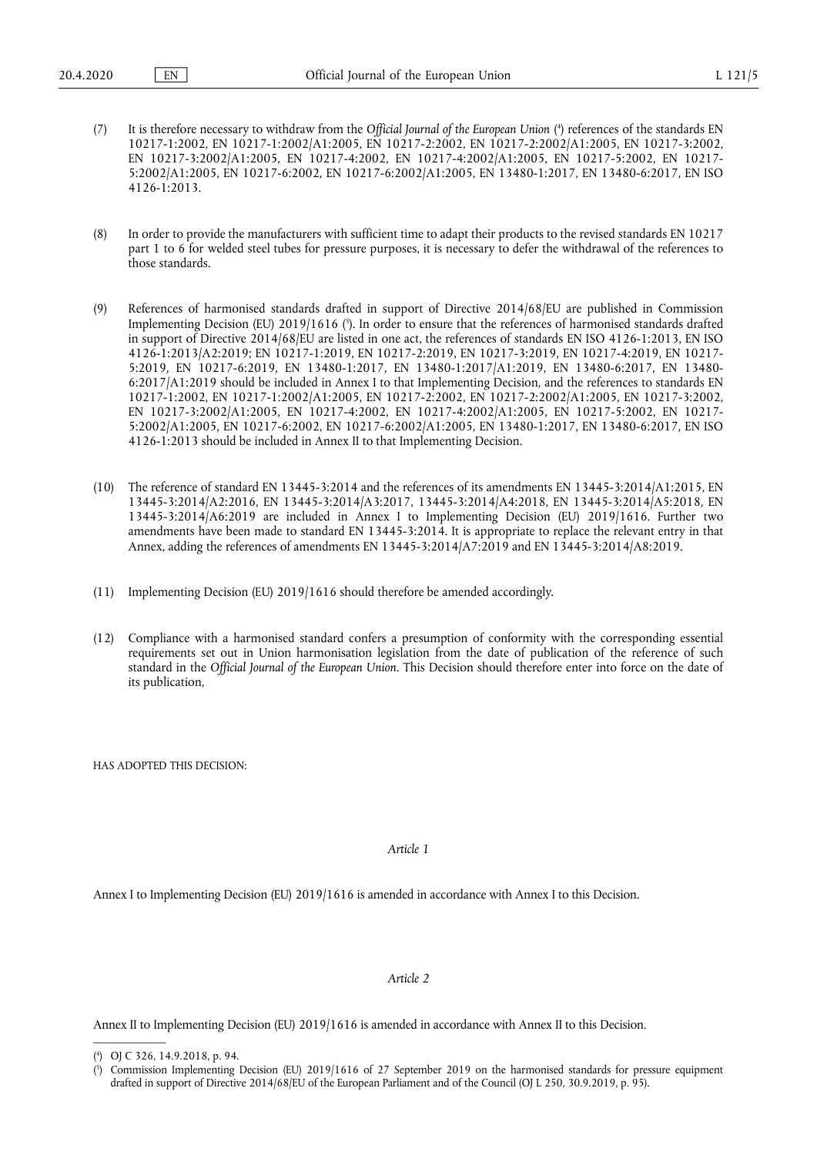- <span id="page-1-2"></span>(7) It is therefore necessary to withdraw from the *Official Journal of the European Union* [\(](#page-1-0) 4 ) references of the standards EN 10217-1:2002, EN 10217-1:2002/A1:2005, EN 10217-2:2002, EN 10217-2:2002/A1:2005, EN 10217-3:2002, EN 10217-3:2002/A1:2005, EN 10217-4:2002, EN 10217-4:2002/A1:2005, EN 10217-5:2002, EN 10217- 5:2002/A1:2005, EN 10217-6:2002, EN 10217-6:2002/A1:2005, EN 13480-1:2017, EN 13480-6:2017, EN ISO 4126-1:2013.
- (8) In order to provide the manufacturers with sufficient time to adapt their products to the revised standards EN 10217 part 1 to 6 for welded steel tubes for pressure purposes, it is necessary to defer the withdrawal of the references to those standards.
- <span id="page-1-3"></span>(9) References of harmonised standards drafted in support of Directive 2014/68/EU are published in Commission Implementing Decision (EU) 2019/1616 [\(](#page-1-1) 5 ). In order to ensure that the references of harmonised standards drafted in support of Directive 2014/68/EU are listed in one act, the references of standards EN ISO 4126-1:2013, EN ISO 4126-1:2013/A2:2019; EN 10217-1:2019, EN 10217-2:2019, EN 10217-3:2019, EN 10217-4:2019, EN 10217- 5:2019, EN 10217-6:2019, EN 13480-1:2017, EN 13480-1:2017/A1:2019, EN 13480-6:2017, EN 13480- 6:2017/A1:2019 should be included in Annex I to that Implementing Decision, and the references to standards EN 10217-1:2002, EN 10217-1:2002/A1:2005, EN 10217-2:2002, EN 10217-2:2002/A1:2005, EN 10217-3:2002, EN 10217-3:2002/A1:2005, EN 10217-4:2002, EN 10217-4:2002/A1:2005, EN 10217-5:2002, EN 10217- 5:2002/A1:2005, EN 10217-6:2002, EN 10217-6:2002/A1:2005, EN 13480-1:2017, EN 13480-6:2017, EN ISO 4126-1:2013 should be included in Annex II to that Implementing Decision.
- (10) The reference of standard EN 13445-3:2014 and the references of its amendments EN 13445-3:2014/A1:2015, EN 13445-3:2014/A2:2016, EN 13445-3:2014/A3:2017, 13445-3:2014/A4:2018, EN 13445-3:2014/A5:2018, EN 13445-3:2014/A6:2019 are included in Annex I to Implementing Decision (EU) 2019/1616. Further two amendments have been made to standard EN 13445-3:2014. It is appropriate to replace the relevant entry in that Annex, adding the references of amendments EN 13445-3:2014/A7:2019 and EN 13445-3:2014/A8:2019.
- (11) Implementing Decision (EU) 2019/1616 should therefore be amended accordingly.
- (12) Compliance with a harmonised standard confers a presumption of conformity with the corresponding essential requirements set out in Union harmonisation legislation from the date of publication of the reference of such standard in the *Official Journal of the European Union*. This Decision should therefore enter into force on the date of its publication,

HAS ADOPTED THIS DECISION:

*Article 1* 

Annex I to Implementing Decision (EU) 2019/1616 is amended in accordance with Annex I to this Decision.

#### *Article 2*

Annex II to Implementing Decision (EU) 2019/1616 is amended in accordance with Annex II to this Decision.

<span id="page-1-0"></span>[<sup>\(</sup>](#page-1-2) 4 ) OJ C 326, 14.9.2018, p. 94.

<span id="page-1-1"></span>[<sup>\(</sup>](#page-1-3) 5 ) Commission Implementing Decision (EU) 2019/1616 of 27 September 2019 on the harmonised standards for pressure equipment drafted in support of Directive 2014/68/EU of the European Parliament and of the Council (OJ L 250, 30.9.2019, p. 95).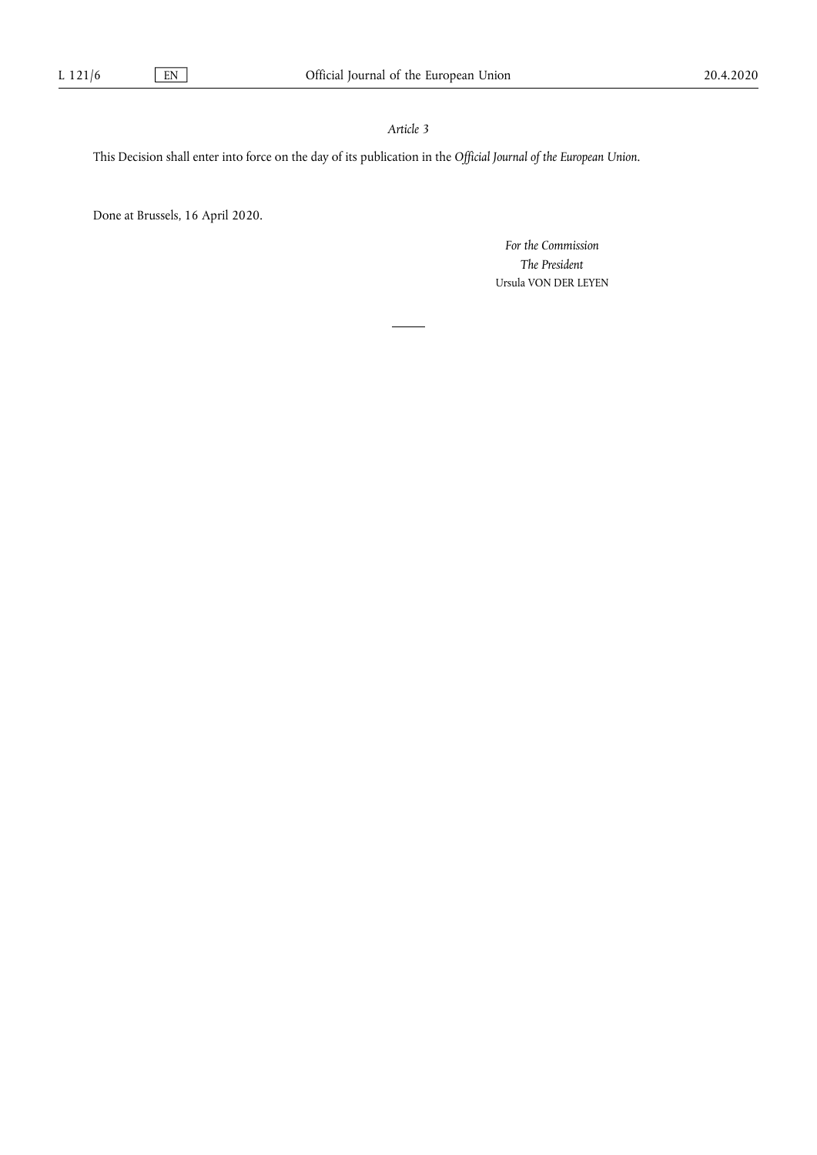## *Article 3*

This Decision shall enter into force on the day of its publication in the *Official Journal of the European Union*.

Done at Brussels, 16 April 2020.

*For the Commission The President*  Ursula VON DER LEYEN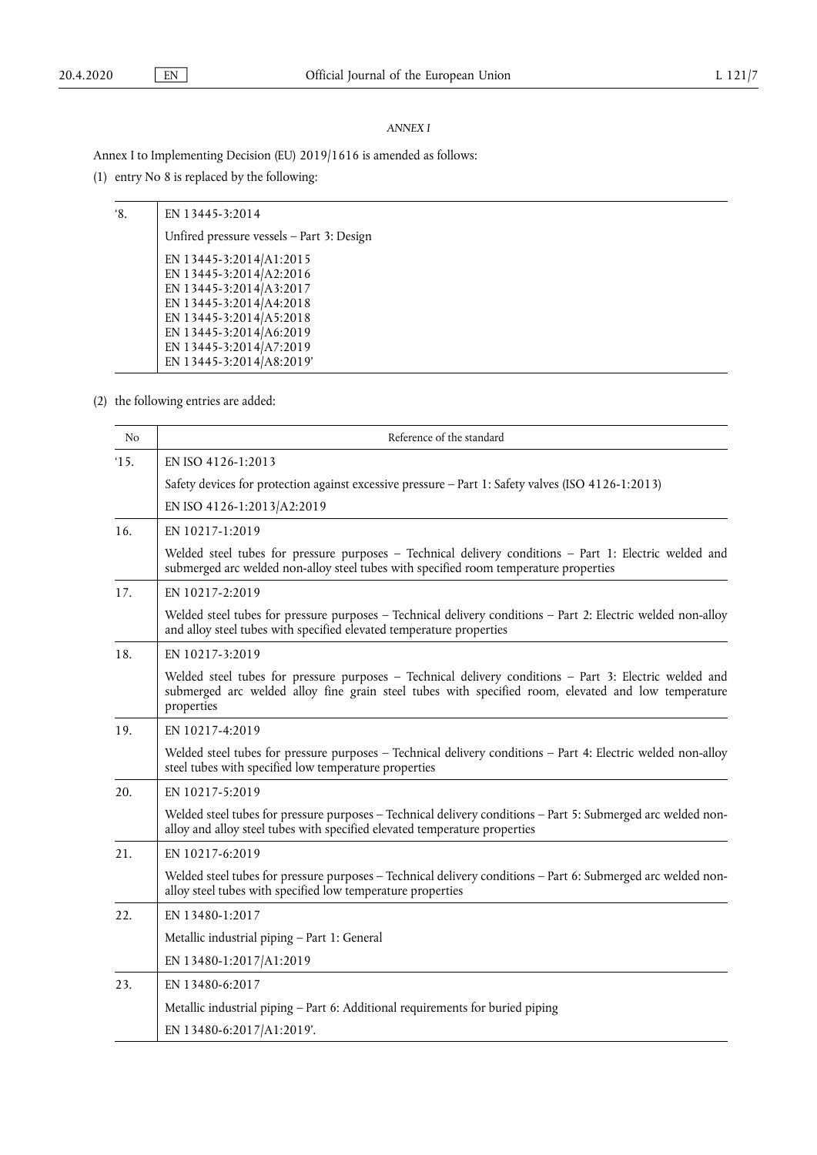### *ANNEX I*

Annex I to Implementing Decision (EU) 2019/1616 is amended as follows:

(1) entry No 8 is replaced by the following:

| '8. | EN 13445-3:2014                           |
|-----|-------------------------------------------|
|     | Unfired pressure vessels - Part 3: Design |
|     | EN 13445-3:2014/A1:2015                   |
|     | EN 13445-3:2014/A2:2016                   |
|     | EN 13445-3:2014/A3:2017                   |
|     | EN 13445-3:2014/A4:2018                   |
|     | EN 13445-3:2014/A5:2018                   |
|     | EN 13445-3:2014/A6:2019                   |
|     | EN 13445-3:2014/A7:2019                   |
|     | EN 13445-3:2014/A8:2019'                  |
|     |                                           |

(2) the following entries are added:

| No  | Reference of the standard                                                                                                                                                                                                   |  |
|-----|-----------------------------------------------------------------------------------------------------------------------------------------------------------------------------------------------------------------------------|--|
| 15. | EN ISO 4126-1:2013                                                                                                                                                                                                          |  |
|     | Safety devices for protection against excessive pressure – Part 1: Safety valves (ISO 4126-1:2013)                                                                                                                          |  |
|     | EN ISO 4126-1:2013/A2:2019                                                                                                                                                                                                  |  |
| 16. | EN 10217-1:2019                                                                                                                                                                                                             |  |
|     | Welded steel tubes for pressure purposes - Technical delivery conditions - Part 1: Electric welded and<br>submerged arc welded non-alloy steel tubes with specified room temperature properties                             |  |
| 17. | EN 10217-2:2019                                                                                                                                                                                                             |  |
|     | Welded steel tubes for pressure purposes - Technical delivery conditions - Part 2: Electric welded non-alloy<br>and alloy steel tubes with specified elevated temperature properties                                        |  |
| 18. | EN 10217-3:2019                                                                                                                                                                                                             |  |
|     | Welded steel tubes for pressure purposes - Technical delivery conditions - Part 3: Electric welded and<br>submerged arc welded alloy fine grain steel tubes with specified room, elevated and low temperature<br>properties |  |
| 19. | EN 10217-4:2019                                                                                                                                                                                                             |  |
|     | Welded steel tubes for pressure purposes - Technical delivery conditions - Part 4: Electric welded non-alloy<br>steel tubes with specified low temperature properties                                                       |  |
| 20. | EN 10217-5:2019                                                                                                                                                                                                             |  |
|     | Welded steel tubes for pressure purposes - Technical delivery conditions - Part 5: Submerged arc welded non-<br>alloy and alloy steel tubes with specified elevated temperature properties                                  |  |
| 21. | EN 10217-6:2019                                                                                                                                                                                                             |  |
|     | Welded steel tubes for pressure purposes - Technical delivery conditions - Part 6: Submerged arc welded non-<br>alloy steel tubes with specified low temperature properties                                                 |  |
| 22. | EN 13480-1:2017                                                                                                                                                                                                             |  |
|     | Metallic industrial piping – Part 1: General                                                                                                                                                                                |  |
|     | EN 13480-1:2017/A1:2019                                                                                                                                                                                                     |  |
| 23. | EN 13480-6:2017                                                                                                                                                                                                             |  |
|     | Metallic industrial piping - Part 6: Additional requirements for buried piping                                                                                                                                              |  |
|     | EN 13480-6:2017/A1:2019'.                                                                                                                                                                                                   |  |